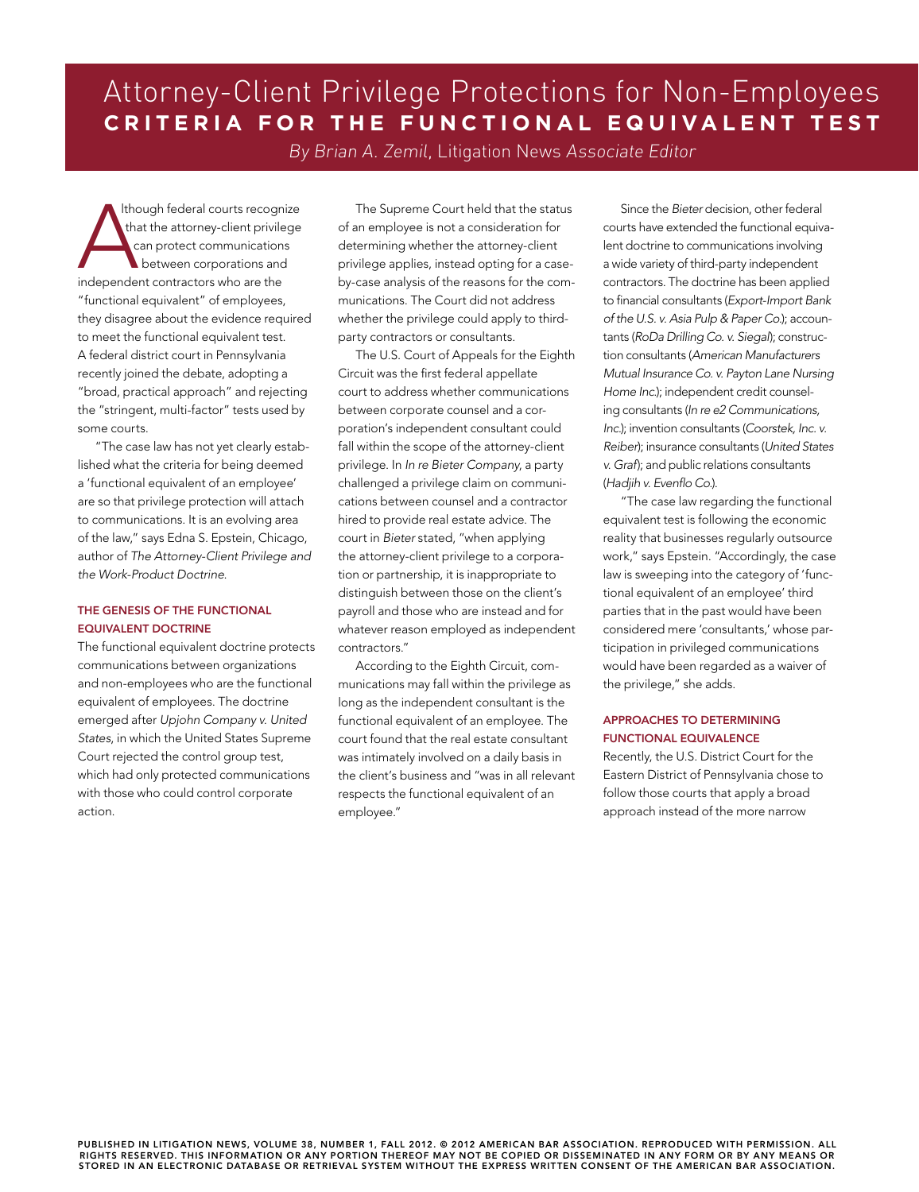# Attorney-Client Privilege Protections for Non-Employees **CRITERIA FOR THE FUNCTIONAL EQUIVALENT TEST**

By Brian A. Zemil, Litigation News Associate Editor

Though federal courts recogn<br>
that the attorney-client privile<br>
can protect communication<br>
between corporations and<br>
independent contractors who are the lthough federal courts recognize that the attorney-client privilege can protect communications between corporations and "functional equivalent" of employees, they disagree about the evidence required to meet the functional equivalent test. A federal district court in Pennsylvania recently joined the debate, adopting a "broad, practical approach" and rejecting the "stringent, multi-factor" tests used by some courts.

"The case law has not yet clearly established what the criteria for being deemed a 'functional equivalent of an employee' are so that privilege protection will attach to communications. It is an evolving area of the law," says Edna S. Epstein, Chicago, author of *The Attorney-Client Privilege and the Work-Product Doctrine*.

### The Genesis of the Functional Equivalent Doctrine

The functional equivalent doctrine protects communications between organizations and non-employees who are the functional equivalent of employees. The doctrine emerged after *Upjohn Company v. United States*, in which the United States Supreme Court rejected the control group test, which had only protected communications with those who could control corporate action.

The Supreme Court held that the status of an employee is not a consideration for determining whether the attorney-client privilege applies, instead opting for a caseby-case analysis of the reasons for the communications. The Court did not address whether the privilege could apply to thirdparty contractors or consultants.

The U.S. Court of Appeals for the Eighth Circuit was the first federal appellate court to address whether communications between corporate counsel and a corporation's independent consultant could fall within the scope of the attorney-client privilege. In *In re Bieter Company*, a party challenged a privilege claim on communications between counsel and a contractor hired to provide real estate advice. The court in *Bieter* stated, "when applying the attorney-client privilege to a corporation or partnership, it is inappropriate to distinguish between those on the client's payroll and those who are instead and for whatever reason employed as independent contractors."

According to the Eighth Circuit, communications may fall within the privilege as long as the independent consultant is the functional equivalent of an employee. The court found that the real estate consultant was intimately involved on a daily basis in the client's business and "was in all relevant respects the functional equivalent of an employee."

Since the *Bieter* decision, other federal courts have extended the functional equivalent doctrine to communications involving a wide variety of third-party independent contractors. The doctrine has been applied to financial consultants (*Export-Import Bank of the U.S. v. Asia Pulp & Paper Co.*); accountants (*RoDa Drilling Co. v. Siegal*); construction consultants (*American Manufacturers Mutual Insurance Co. v. Payton Lane Nursing Home Inc.*); independent credit counseling consultants (*In re e2 Communications, Inc.*); invention consultants (*Coorstek, Inc. v. Reiber*); insurance consultants (*United States v. Graf*); and public relations consultants (*Hadjih v. Evenflo Co.*).

"The case law regarding the functional equivalent test is following the economic reality that businesses regularly outsource work," says Epstein. "Accordingly, the case law is sweeping into the category of 'functional equivalent of an employee' third parties that in the past would have been considered mere 'consultants,' whose participation in privileged communications would have been regarded as a waiver of the privilege," she adds.

## Approaches to Determining Functional Equivalence

Recently, the U.S. District Court for the Eastern District of Pennsylvania chose to follow those courts that apply a broad approach instead of the more narrow